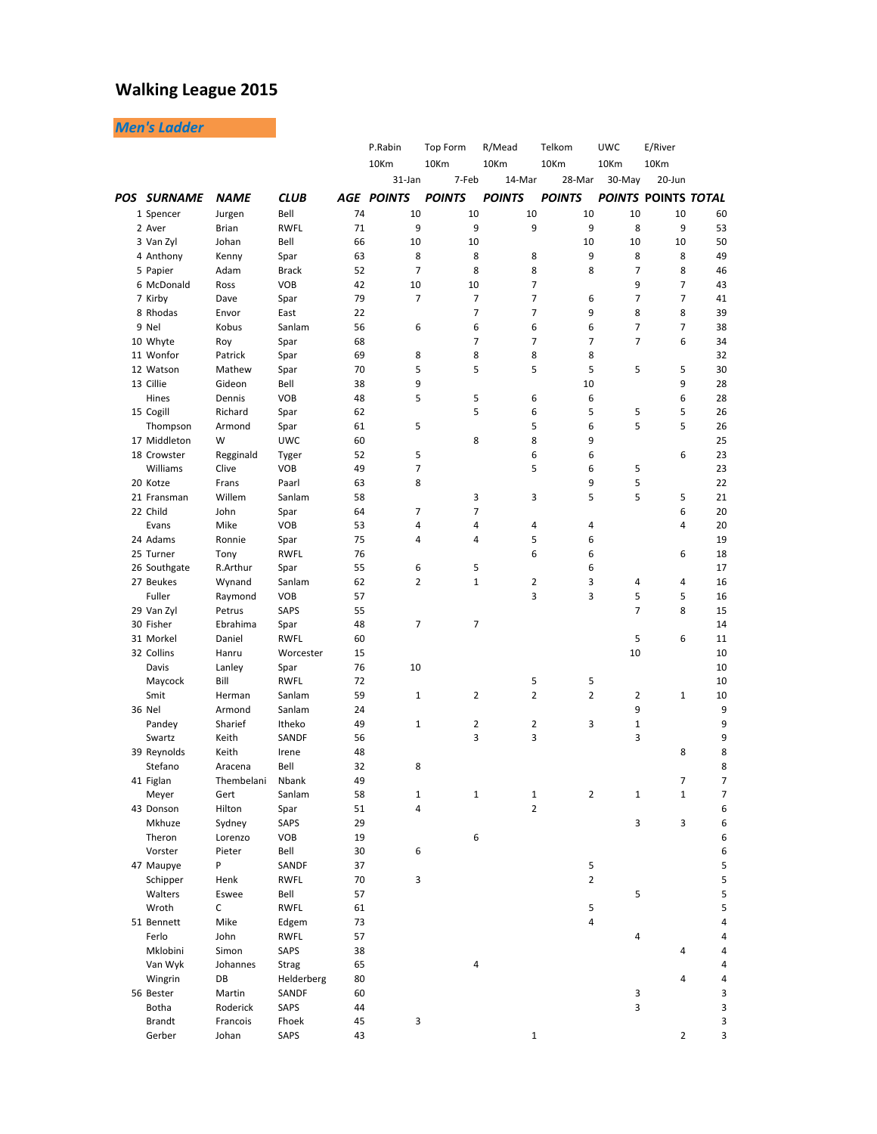## **Walking League 2015**

*Men's Ladder*

|                    |                   |                       |          | P.Rabin           | Top Form       | R/Mead         | Telkom              | <b>UWC</b>   | E/River                    |                     |
|--------------------|-------------------|-----------------------|----------|-------------------|----------------|----------------|---------------------|--------------|----------------------------|---------------------|
|                    |                   |                       |          | 10Km              | 10Km           | 10Km           | 10Km                | 10Km         | 10Km                       |                     |
|                    |                   |                       |          | 31-Jan            | 7-Feb          | 14-Mar         | 28-Mar              | 30-May       | 20-Jun                     |                     |
| <b>POS SURNAME</b> | <b>NAME</b>       | <b>CLUB</b>           |          | <b>AGE POINTS</b> | <b>POINTS</b>  | <b>POINTS</b>  | <b>POINTS</b>       |              | <b>POINTS POINTS TOTAL</b> |                     |
| 1 Spencer          | Jurgen            | Bell                  | 74       | 10                | 10             | 10             | 10                  | 10           | 10                         | 60                  |
| 2 Aver             | Brian             | <b>RWFL</b>           | 71       | 9                 | 9              | 9              | 9                   | 8            | 9                          | 53                  |
| 3 Van Zyl          | Johan             | Bell                  | 66       | 10                | 10             |                | 10                  | 10           | 10                         | 50                  |
| 4 Anthony          | Kenny             | Spar                  | 63       | 8                 | 8              | 8              | 9                   | 8            | 8                          | 49                  |
| 5 Papier           | Adam              | <b>Brack</b>          | 52       | $\overline{7}$    | 8              | 8              | 8                   | 7            | 8                          | 46                  |
| 6 McDonald         | Ross              | <b>VOB</b>            | 42       | 10                | 10             | 7              |                     | 9            | 7                          | 43                  |
| 7 Kirby            | Dave              | Spar                  | 79       | $\overline{7}$    | 7              | 7              | 6                   | 7            | 7                          | 41                  |
| 8 Rhodas           | Envor             | East                  | 22       |                   | $\overline{7}$ | 7              | 9                   | 8            | 8                          | 39                  |
| 9 Nel              | Kobus             | Sanlam                | 56       | 6                 | 6              | 6              | 6                   | 7            | $\overline{7}$             | 38                  |
| 10 Whyte           | Roy               | Spar                  | 68       |                   | 7              | 7              | $\overline{7}$      | 7            | 6                          | 34                  |
| 11 Wonfor          | Patrick           | Spar                  | 69       | 8                 | 8              | 8              | 8                   |              |                            | 32                  |
| 12 Watson          | Mathew            | Spar                  | 70       | 5                 | 5              | 5              | 5                   | 5            | 5                          | 30                  |
| 13 Cillie          | Gideon            | Bell                  | 38       | 9                 |                |                | 10                  |              | 9                          | 28                  |
| Hines              | Dennis            | <b>VOB</b>            | 48       | 5                 | 5              | 6              | 6                   |              | 6                          | 28                  |
| 15 Cogill          | Richard           | Spar                  | 62       |                   | 5              | 6              | 5                   | 5            | 5                          | 26                  |
| Thompson           | Armond            | Spar                  | 61       | 5                 |                | 5              | 6                   | 5            | 5                          | 26                  |
| 17 Middleton       | W                 | <b>UWC</b>            | 60       |                   | 8              | 8              | 9                   |              |                            | 25                  |
| 18 Crowster        | Regginald         | Tyger                 | 52       | 5                 |                | 6              | 6                   |              | 6                          | 23                  |
| Williams           | Clive             | <b>VOB</b>            | 49       | $\overline{7}$    |                | 5              | 6                   | 5            |                            | 23                  |
| 20 Kotze           | Frans             | Paarl                 | 63       | 8                 |                |                | 9                   | 5            |                            | 22                  |
| 21 Fransman        | Willem            | Sanlam                | 58       |                   | 3              | 3              | 5                   | 5            | 5                          | 21                  |
| 22 Child           | John              | Spar                  | 64       | 7                 | 7              |                |                     |              | 6                          | 20                  |
| Evans              | Mike              | <b>VOB</b>            | 53       | 4                 | 4              | 4              | 4                   |              | 4                          | 20                  |
| 24 Adams           | Ronnie            | Spar                  | 75       | 4                 | 4              | 5              | 6                   |              |                            | 19                  |
| 25 Turner          | Tony              | <b>RWFL</b>           | 76       |                   |                | 6              | 6                   |              | 6                          | 18                  |
| 26 Southgate       | R.Arthur          | Spar                  | 55       | 6                 | 5              |                | 6                   |              |                            | 17                  |
| 27 Beukes          | Wynand            | Sanlam                | 62       | $\overline{2}$    | $\mathbf{1}$   | $\overline{2}$ | 3                   | 4            | 4                          | 16                  |
| Fuller             | Raymond           | <b>VOB</b>            | 57       |                   |                | 3              | 3                   | 5            | 5                          | 16                  |
| 29 Van Zyl         | Petrus            | <b>SAPS</b>           | 55       |                   |                |                |                     | 7            | 8                          | 15                  |
| 30 Fisher          | Ebrahima          |                       | 48       | 7                 | 7              |                |                     |              |                            | 14                  |
| 31 Morkel          | Daniel            | Spar<br><b>RWFL</b>   | 60       |                   |                |                |                     | 5            | 6                          | 11                  |
| 32 Collins         | Hanru             | Worcester             | 15       |                   |                |                |                     | 10           |                            | 10                  |
|                    |                   |                       | 76       | 10                |                |                |                     |              |                            | 10                  |
| Davis              | Lanley            | Spar                  |          |                   |                |                |                     |              |                            |                     |
| Maycock            | Bill              | <b>RWFL</b><br>Sanlam | 72       |                   | 2              | 5<br>2         | 5<br>$\overline{2}$ |              | $\mathbf{1}$               | 10                  |
| Smit               | Herman            | Sanlam                | 59<br>24 | $\mathbf{1}$      |                |                |                     | 2<br>9       |                            | 10<br>9             |
| 36 Nel             | Armond<br>Sharief |                       |          |                   |                |                |                     |              |                            |                     |
| Pandey             |                   | Itheko                | 49       | $\mathbf{1}$      | 2              | 2<br>3         | 3                   | $\mathbf{1}$ |                            | 9                   |
| Swartz             | Keith             | SANDF                 | 56       |                   | 3              |                |                     | 3            |                            | 9                   |
| 39 Reynolds        | Keith             | Irene                 | 48       |                   |                |                |                     |              | 8                          | 8                   |
| Stefano            | Aracena           | Bell                  | 32<br>49 | 8                 |                |                |                     |              |                            | 8<br>$\overline{7}$ |
| 41 Figlan          | Thembelani        | Nbank                 |          |                   |                |                |                     |              | 7                          |                     |
| Meyer              | Gert              | Sanlam                | 58       | $\mathbf 1$       | $\mathbf 1$    | $\mathbf 1$    | $\overline{2}$      | $\mathbf 1$  | $\mathbf 1$                | 7                   |
| 43 Donson          | Hilton            | Spar                  | 51       | 4                 |                | $\overline{2}$ |                     |              |                            | 6                   |
| Mkhuze             | Sydney            | SAPS                  | 29       |                   |                |                |                     | 3            | 3                          | 6                   |
| Theron             | Lorenzo           | VOB                   | 19       |                   | 6              |                |                     |              |                            | 6                   |
| Vorster            | Pieter            | Bell                  | 30       | 6                 |                |                |                     |              |                            | 6                   |
| 47 Maupye          | P                 | SANDF                 | 37       |                   |                |                | $\sf 5$             |              |                            | 5                   |
| Schipper           | Henk              | <b>RWFL</b>           | 70       | 3                 |                |                | $\overline{2}$      |              |                            | 5                   |
| Walters            | Eswee             | Bell                  | 57       |                   |                |                |                     | 5            |                            | 5                   |
| Wroth              | С                 | <b>RWFL</b>           | 61       |                   |                |                | 5                   |              |                            | 5                   |
| 51 Bennett         | Mike              | Edgem                 | 73       |                   |                |                | 4                   |              |                            | 4                   |
| Ferlo              | John              | <b>RWFL</b>           | 57       |                   |                |                |                     | 4            |                            | 4                   |
| Mklobini           | Simon             | SAPS                  | 38       |                   |                |                |                     |              | 4                          | 4                   |
| Van Wyk            | Johannes          | Strag                 | 65       |                   | 4              |                |                     |              |                            | 4                   |
| Wingrin            | DB                | Helderberg            | 80       |                   |                |                |                     |              | 4                          | 4                   |
| 56 Bester          | Martin            | SANDF                 | 60       |                   |                |                |                     | 3            |                            | 3                   |
| Botha              | Roderick          | SAPS                  | 44       |                   |                |                |                     | 3            |                            | 3                   |
| <b>Brandt</b>      | Francois          | Fhoek                 | 45       | 3                 |                |                |                     |              |                            | 3                   |
| Gerber             | Johan             | SAPS                  | 43       |                   |                | $\mathbf{1}$   |                     |              | $\overline{2}$             | 3                   |